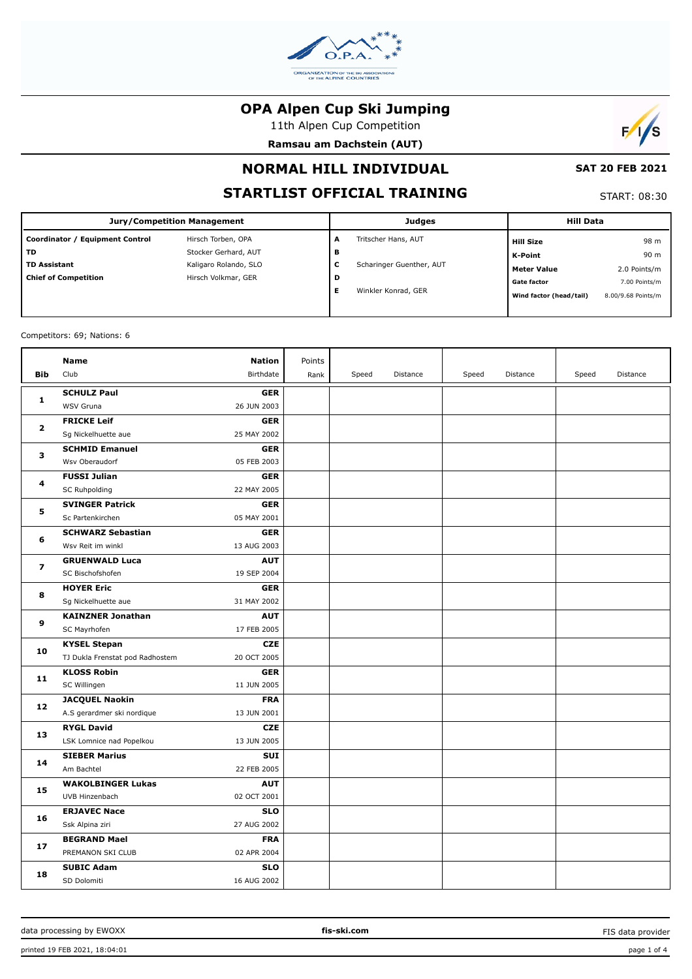

11th Alpen Cup Competition

**Ramsau am Dachstein (AUT)**



# **NORMAL HILL INDIVIDUAL**

# **STARTLIST OFFICIAL TRAINING**

START: 08:30

 **SAT 20 FEB 2021**

| Jury/Competition Management     |                       |   | <b>Judges</b>            | <b>Hill Data</b>        |                    |  |
|---------------------------------|-----------------------|---|--------------------------|-------------------------|--------------------|--|
| Coordinator / Equipment Control | Hirsch Torben, OPA    | A | Tritscher Hans, AUT      | Hill Size               | 98 m               |  |
| l TD                            | Stocker Gerhard, AUT  | в |                          | K-Point                 | 90 m               |  |
| <b>TD Assistant</b>             | Kaligaro Rolando, SLO | c | Scharinger Guenther, AUT | <b>Meter Value</b>      | 2.0 Points/m       |  |
| <b>Chief of Competition</b>     | Hirsch Volkmar, GER   | D |                          | <b>Gate factor</b>      | 7.00 Points/m      |  |
|                                 |                       | Е | Winkler Konrad, GER      | Wind factor (head/tail) | 8.00/9.68 Points/m |  |
|                                 |                       |   |                          |                         |                    |  |

#### Competitors: 69; Nations: 6

|                         | Name                            | <b>Nation</b> | Points |       |          |       |          |       |          |
|-------------------------|---------------------------------|---------------|--------|-------|----------|-------|----------|-------|----------|
| <b>Bib</b>              | Club                            | Birthdate     | Rank   | Speed | Distance | Speed | Distance | Speed | Distance |
|                         | <b>SCHULZ Paul</b>              | <b>GER</b>    |        |       |          |       |          |       |          |
| $\mathbf{1}$            | WSV Gruna                       | 26 JUN 2003   |        |       |          |       |          |       |          |
| $\mathbf{2}$            | <b>FRICKE Leif</b>              | <b>GER</b>    |        |       |          |       |          |       |          |
|                         | Sg Nickelhuette aue             | 25 MAY 2002   |        |       |          |       |          |       |          |
| 3                       | <b>SCHMID Emanuel</b>           | <b>GER</b>    |        |       |          |       |          |       |          |
|                         | Wsv Oberaudorf                  | 05 FEB 2003   |        |       |          |       |          |       |          |
| 4                       | <b>FUSSI Julian</b>             | <b>GER</b>    |        |       |          |       |          |       |          |
|                         | SC Ruhpolding                   | 22 MAY 2005   |        |       |          |       |          |       |          |
| 5                       | <b>SVINGER Patrick</b>          | <b>GER</b>    |        |       |          |       |          |       |          |
|                         | Sc Partenkirchen                | 05 MAY 2001   |        |       |          |       |          |       |          |
| 6                       | <b>SCHWARZ Sebastian</b>        | <b>GER</b>    |        |       |          |       |          |       |          |
|                         | Wsv Reit im winkl               | 13 AUG 2003   |        |       |          |       |          |       |          |
| $\overline{\mathbf{z}}$ | <b>GRUENWALD Luca</b>           | <b>AUT</b>    |        |       |          |       |          |       |          |
|                         | SC Bischofshofen                | 19 SEP 2004   |        |       |          |       |          |       |          |
| 8                       | <b>HOYER Eric</b>               | <b>GER</b>    |        |       |          |       |          |       |          |
|                         | Sg Nickelhuette aue             | 31 MAY 2002   |        |       |          |       |          |       |          |
| 9                       | <b>KAINZNER Jonathan</b>        | <b>AUT</b>    |        |       |          |       |          |       |          |
|                         | SC Mayrhofen                    | 17 FEB 2005   |        |       |          |       |          |       |          |
| 10                      | <b>KYSEL Stepan</b>             | <b>CZE</b>    |        |       |          |       |          |       |          |
|                         | TJ Dukla Frenstat pod Radhostem | 20 OCT 2005   |        |       |          |       |          |       |          |
| 11                      | <b>KLOSS Robin</b>              | <b>GER</b>    |        |       |          |       |          |       |          |
|                         | SC Willingen                    | 11 JUN 2005   |        |       |          |       |          |       |          |
| 12                      | <b>JACQUEL Naokin</b>           | <b>FRA</b>    |        |       |          |       |          |       |          |
|                         | A.S gerardmer ski nordique      | 13 JUN 2001   |        |       |          |       |          |       |          |
| 13                      | <b>RYGL David</b>               | <b>CZE</b>    |        |       |          |       |          |       |          |
|                         | LSK Lomnice nad Popelkou        | 13 JUN 2005   |        |       |          |       |          |       |          |
| 14                      | <b>SIEBER Marius</b>            | <b>SUI</b>    |        |       |          |       |          |       |          |
|                         | Am Bachtel                      | 22 FEB 2005   |        |       |          |       |          |       |          |
| 15                      | <b>WAKOLBINGER Lukas</b>        | <b>AUT</b>    |        |       |          |       |          |       |          |
|                         | UVB Hinzenbach                  | 02 OCT 2001   |        |       |          |       |          |       |          |
| 16                      | <b>ERJAVEC Nace</b>             | <b>SLO</b>    |        |       |          |       |          |       |          |
|                         | Ssk Alpina ziri                 | 27 AUG 2002   |        |       |          |       |          |       |          |
| 17                      | <b>BEGRAND Mael</b>             | <b>FRA</b>    |        |       |          |       |          |       |          |
|                         | PREMANON SKI CLUB               | 02 APR 2004   |        |       |          |       |          |       |          |
| 18                      | <b>SUBIC Adam</b>               | <b>SLO</b>    |        |       |          |       |          |       |          |
|                         | SD Dolomiti                     | 16 AUG 2002   |        |       |          |       |          |       |          |

FIS data provider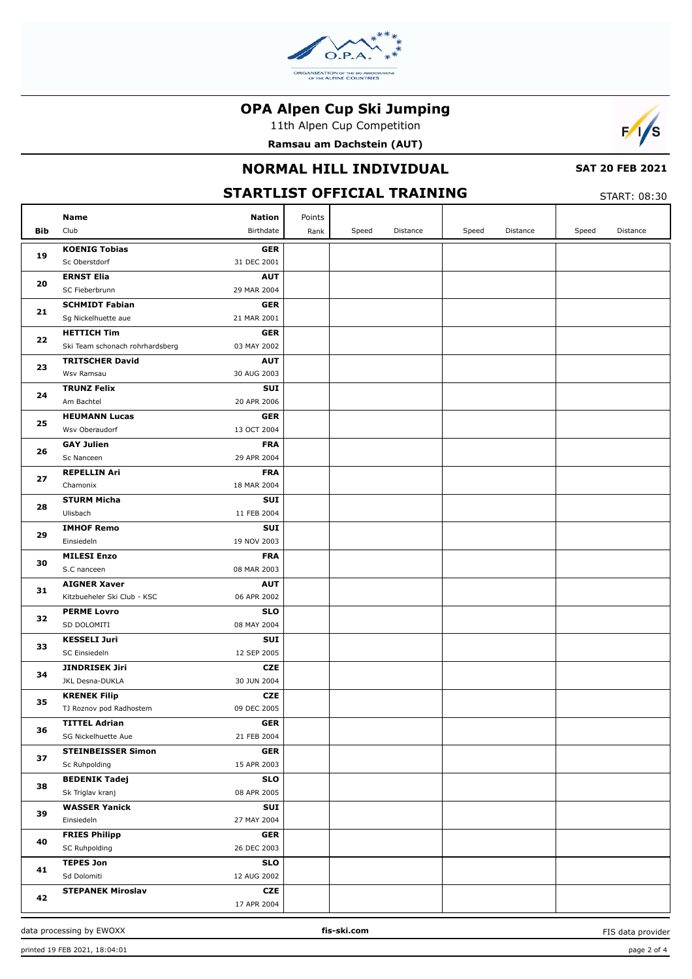

11th Alpen Cup Competition

**Ramsau am Dachstein (AUT)**



## **NORMAL HILL INDIVIDUAL**

#### **SAT 20 FEB 2021**

**STARTLIST OFFICIAL TRAINING**

|     | Name                                               | <b>Nation</b>             | Points |       |          |       |          |       |          |
|-----|----------------------------------------------------|---------------------------|--------|-------|----------|-------|----------|-------|----------|
| Bib | Club                                               | Birthdate                 | Rank   | Speed | Distance | Speed | Distance | Speed | Distance |
|     | <b>KOENIG Tobias</b>                               | <b>GER</b>                |        |       |          |       |          |       |          |
| 19  | Sc Oberstdorf                                      | 31 DEC 2001               |        |       |          |       |          |       |          |
| 20  | <b>ERNST Elia</b>                                  | <b>AUT</b>                |        |       |          |       |          |       |          |
|     | SC Fieberbrunn                                     | 29 MAR 2004               |        |       |          |       |          |       |          |
| 21  | <b>SCHMIDT Fabian</b>                              | <b>GER</b>                |        |       |          |       |          |       |          |
|     | Sg Nickelhuette aue                                | 21 MAR 2001               |        |       |          |       |          |       |          |
| 22  | <b>HETTICH Tim</b>                                 | <b>GER</b>                |        |       |          |       |          |       |          |
|     | Ski Team schonach rohrhardsberg                    | 03 MAY 2002               |        |       |          |       |          |       |          |
| 23  | <b>TRITSCHER David</b>                             | <b>AUT</b>                |        |       |          |       |          |       |          |
|     | Wsv Ramsau                                         | 30 AUG 2003               |        |       |          |       |          |       |          |
| 24  | <b>TRUNZ Felix</b>                                 | SUI                       |        |       |          |       |          |       |          |
|     | Am Bachtel                                         | 20 APR 2006               |        |       |          |       |          |       |          |
| 25  | <b>HEUMANN Lucas</b>                               | <b>GER</b>                |        |       |          |       |          |       |          |
|     | Wsv Oberaudorf                                     | 13 OCT 2004               |        |       |          |       |          |       |          |
| 26  | <b>GAY Julien</b>                                  | <b>FRA</b>                |        |       |          |       |          |       |          |
|     | Sc Nanceen                                         | 29 APR 2004               |        |       |          |       |          |       |          |
| 27  | <b>REPELLIN Ari</b>                                | <b>FRA</b>                |        |       |          |       |          |       |          |
|     | Chamonix                                           | 18 MAR 2004               |        |       |          |       |          |       |          |
| 28  | <b>STURM Micha</b>                                 | SUI                       |        |       |          |       |          |       |          |
|     | Ulisbach                                           | 11 FEB 2004               |        |       |          |       |          |       |          |
| 29  | <b>IMHOF Remo</b>                                  | SUI                       |        |       |          |       |          |       |          |
|     | Einsiedeln                                         | 19 NOV 2003               |        |       |          |       |          |       |          |
| 30  | <b>MILESI Enzo</b>                                 | <b>FRA</b>                |        |       |          |       |          |       |          |
|     | S.C nanceen                                        | 08 MAR 2003               |        |       |          |       |          |       |          |
| 31  | <b>AIGNER Xaver</b><br>Kitzbueheler Ski Club - KSC | <b>AUT</b><br>06 APR 2002 |        |       |          |       |          |       |          |
|     | <b>PERME Lovro</b>                                 | <b>SLO</b>                |        |       |          |       |          |       |          |
| 32  | SD DOLOMITI                                        | 08 MAY 2004               |        |       |          |       |          |       |          |
|     | <b>KESSELI Juri</b>                                | SUI                       |        |       |          |       |          |       |          |
| 33  | SC Einsiedeln                                      | 12 SEP 2005               |        |       |          |       |          |       |          |
|     | <b>JINDRISEK Jiri</b>                              | <b>CZE</b>                |        |       |          |       |          |       |          |
| 34  | JKL Desna-DUKLA                                    | 30 JUN 2004               |        |       |          |       |          |       |          |
|     | <b>KRENEK Filip</b>                                | <b>CZE</b>                |        |       |          |       |          |       |          |
| 35  | TJ Roznov pod Radhostem                            | 09 DEC 2005               |        |       |          |       |          |       |          |
|     | <b>TITTEL Adrian</b>                               | <b>GER</b>                |        |       |          |       |          |       |          |
| 36  | SG Nickelhuette Aue                                | 21 FEB 2004               |        |       |          |       |          |       |          |
|     | <b>STEINBEISSER Simon</b>                          | <b>GER</b>                |        |       |          |       |          |       |          |
| 37  | Sc Ruhpolding                                      | 15 APR 2003               |        |       |          |       |          |       |          |
|     | <b>BEDENIK Tadej</b>                               | <b>SLO</b>                |        |       |          |       |          |       |          |
| 38  | Sk Triglav kranj                                   | 08 APR 2005               |        |       |          |       |          |       |          |
|     | <b>WASSER Yanick</b>                               | SUI                       |        |       |          |       |          |       |          |
| 39  | Einsiedeln                                         | 27 MAY 2004               |        |       |          |       |          |       |          |
|     | <b>FRIES Philipp</b>                               | <b>GER</b>                |        |       |          |       |          |       |          |
| 40  | SC Ruhpolding                                      | 26 DEC 2003               |        |       |          |       |          |       |          |
|     | <b>TEPES Jon</b>                                   | <b>SLO</b>                |        |       |          |       |          |       |          |
| 41  | Sd Dolomiti                                        | 12 AUG 2002               |        |       |          |       |          |       |          |
|     | <b>STEPANEK Miroslav</b>                           | CZE                       |        |       |          |       |          |       |          |
| 42  |                                                    | 17 APR 2004               |        |       |          |       |          |       |          |

FIS data provider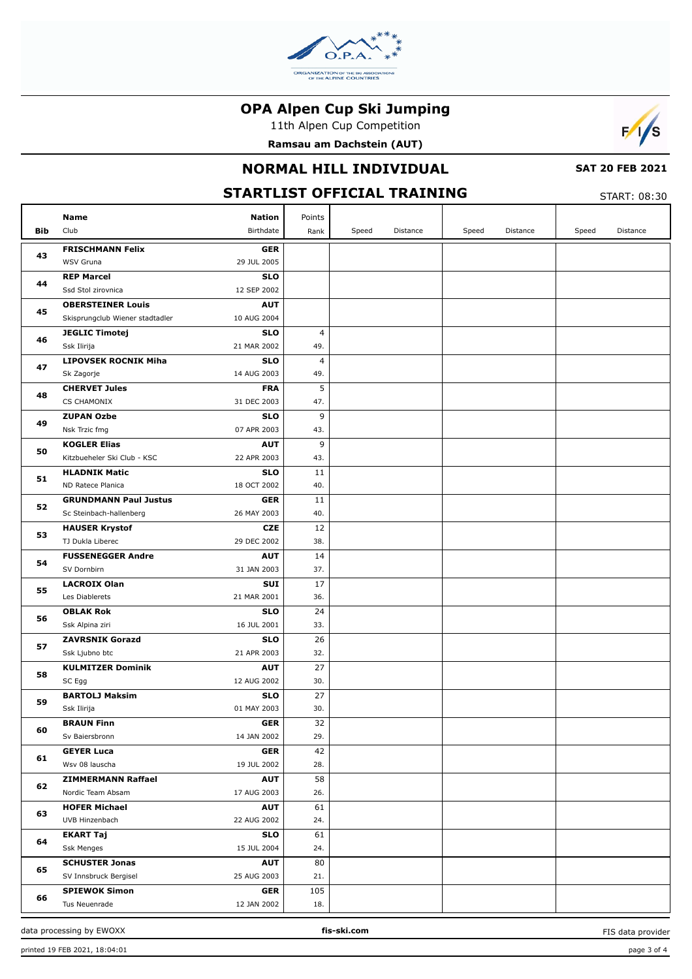

11th Alpen Cup Competition

**Ramsau am Dachstein (AUT)**



### **NORMAL HILL INDIVIDUAL**

#### **SAT 20 FEB 2021**

#### **STARTLIST OFFICIAL TRAINING**

| <b>START: 08:30</b> |  |
|---------------------|--|
|                     |  |

|            | <b>Name</b><br><b>Nation</b>                                    | Points    |       |          |       |          |       |          |
|------------|-----------------------------------------------------------------|-----------|-------|----------|-------|----------|-------|----------|
| <b>Bib</b> | Club<br>Birthdate                                               | Rank      | Speed | Distance | Speed | Distance | Speed | Distance |
|            | <b>FRISCHMANN Felix</b><br><b>GER</b>                           |           |       |          |       |          |       |          |
| 43         | WSV Gruna<br>29 JUL 2005                                        |           |       |          |       |          |       |          |
|            | <b>REP Marcel</b><br><b>SLO</b>                                 |           |       |          |       |          |       |          |
| 44         | Ssd Stol zirovnica<br>12 SEP 2002                               |           |       |          |       |          |       |          |
|            | <b>AUT</b><br><b>OBERSTEINER Louis</b>                          |           |       |          |       |          |       |          |
| 45         | Skisprungclub Wiener stadtadler<br>10 AUG 2004                  |           |       |          |       |          |       |          |
|            | <b>SLO</b><br><b>JEGLIC Timotej</b>                             | 4         |       |          |       |          |       |          |
| 46         | Ssk Ilirija<br>21 MAR 2002                                      | 49.       |       |          |       |          |       |          |
|            | <b>LIPOVSEK ROCNIK Miha</b><br><b>SLO</b>                       | 4         |       |          |       |          |       |          |
| 47         | 14 AUG 2003<br>Sk Zagorje                                       | 49.       |       |          |       |          |       |          |
| 48         | <b>CHERVET Jules</b><br><b>FRA</b>                              | 5         |       |          |       |          |       |          |
|            | CS CHAMONIX<br>31 DEC 2003                                      | 47.       |       |          |       |          |       |          |
| 49         | <b>ZUPAN Ozbe</b><br><b>SLO</b>                                 | 9         |       |          |       |          |       |          |
|            | Nsk Trzic fmg<br>07 APR 2003                                    | 43.       |       |          |       |          |       |          |
| 50         | <b>KOGLER Elias</b><br><b>AUT</b>                               | 9         |       |          |       |          |       |          |
|            | Kitzbueheler Ski Club - KSC<br>22 APR 2003                      | 43.       |       |          |       |          |       |          |
| 51         | <b>HLADNIK Matic</b><br><b>SLO</b>                              | 11        |       |          |       |          |       |          |
|            | ND Ratece Planica<br>18 OCT 2002                                | 40.       |       |          |       |          |       |          |
| 52         | <b>GRUNDMANN Paul Justus</b><br><b>GER</b>                      | 11        |       |          |       |          |       |          |
|            | 26 MAY 2003<br>Sc Steinbach-hallenberg                          | 40.       |       |          |       |          |       |          |
| 53         | <b>CZE</b><br><b>HAUSER Krystof</b>                             | 12        |       |          |       |          |       |          |
|            | TJ Dukla Liberec<br>29 DEC 2002                                 | 38.       |       |          |       |          |       |          |
| 54         | <b>FUSSENEGGER Andre</b><br><b>AUT</b>                          | 14        |       |          |       |          |       |          |
|            | SV Dornbirn<br>31 JAN 2003                                      | 37.       |       |          |       |          |       |          |
| 55         | <b>LACROIX Olan</b><br><b>SUI</b>                               | 17        |       |          |       |          |       |          |
|            | Les Diablerets<br>21 MAR 2001                                   | 36.       |       |          |       |          |       |          |
| 56         | <b>SLO</b><br><b>OBLAK Rok</b>                                  | 24        |       |          |       |          |       |          |
|            | Ssk Alpina ziri<br>16 JUL 2001                                  | 33.       |       |          |       |          |       |          |
| 57         | <b>ZAVRSNIK Gorazd</b><br><b>SLO</b>                            | 26        |       |          |       |          |       |          |
|            | Ssk Ljubno btc<br>21 APR 2003                                   | 32.       |       |          |       |          |       |          |
| 58         | <b>KULMITZER Dominik</b><br><b>AUT</b><br>SC Egg<br>12 AUG 2002 | 27<br>30. |       |          |       |          |       |          |
|            | <b>BARTOLJ Maksim</b><br><b>SLO</b>                             | 27        |       |          |       |          |       |          |
| 59         | Ssk Ilirija<br>01 MAY 2003                                      | 30.       |       |          |       |          |       |          |
|            | <b>BRAUN Finn</b><br>GER                                        | 32        |       |          |       |          |       |          |
| 60         | Sv Baiersbronn<br>14 JAN 2002                                   | 29.       |       |          |       |          |       |          |
|            | <b>GEYER Luca</b><br><b>GER</b>                                 | 42        |       |          |       |          |       |          |
| 61         | 19 JUL 2002<br>Wsv 08 lauscha                                   | 28.       |       |          |       |          |       |          |
|            | <b>ZIMMERMANN Raffael</b><br><b>AUT</b>                         | 58        |       |          |       |          |       |          |
| 62         | Nordic Team Absam<br>17 AUG 2003                                | 26.       |       |          |       |          |       |          |
|            | <b>HOFER Michael</b><br><b>AUT</b>                              | 61        |       |          |       |          |       |          |
| 63         | UVB Hinzenbach<br>22 AUG 2002                                   | 24.       |       |          |       |          |       |          |
|            | <b>EKART Taj</b><br><b>SLO</b>                                  | 61        |       |          |       |          |       |          |
| 64         | 15 JUL 2004<br><b>Ssk Menges</b>                                | 24.       |       |          |       |          |       |          |
|            | <b>SCHUSTER Jonas</b><br><b>AUT</b>                             | 80        |       |          |       |          |       |          |
| 65         | SV Innsbruck Bergisel<br>25 AUG 2003                            | 21.       |       |          |       |          |       |          |
|            | <b>SPIEWOK Simon</b><br><b>GER</b>                              | 105       |       |          |       |          |       |          |
| 66         | Tus Neuenrade<br>12 JAN 2002                                    | 18.       |       |          |       |          |       |          |

FIS data provider